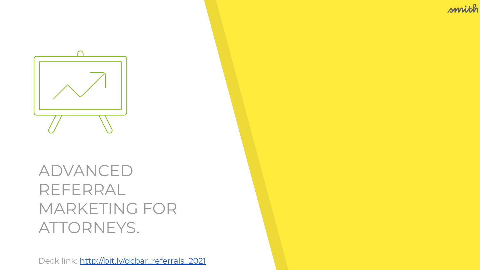smith



#### ADVANCED REFERRAL MARKETING FOR ATTORNEYS.

Deck link: [http://bit.ly/dcbar\\_referrals\\_2021](http://bit.ly/dcbar_referrals_2021)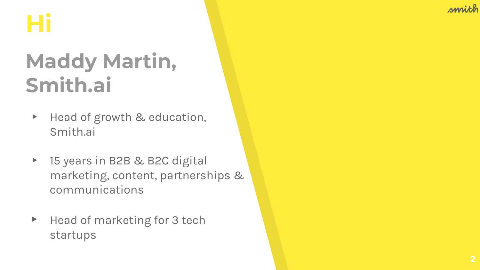# **Hi**

### **Maddy Martin, Smith.ai**

- ▸ Head of growth & education, Smith.ai
- ▸ 15 years in B2B & B2C digital marketing, content, partnerships & communications
- ▶ Head of marketing for 3 tech startups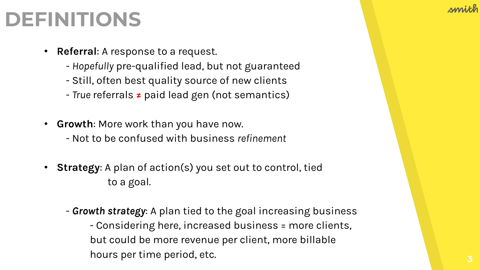#### **DEFINITIONS**

- **Referral**: A response to a request.
	- *Hopefully* pre-qualified lead, but not guaranteed
	- Still, often best quality source of new clients
	- *True* referrals **≠** paid lead gen (not semantics)
- **Growth**: More work than you have now.
	- Not to be confused with business *refinement*
- **Strategy:** A plan of action(s) you set out to control, tied to a goal.
	- *Growth strategy*: A plan tied to the goal increasing business - Considering here, increased business = more clients, but could be more revenue per client, more billable hours per time period, etc.

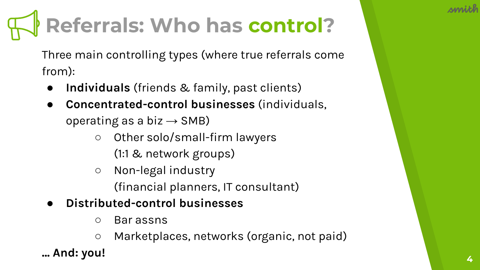# **Referrals: Who has control?**

Three main controlling types (where true referrals come from):

- **Individuals** (friends & family, past clients)
- **Concentrated-control businesses** (individuals, operating as a biz  $\rightarrow$  SMB)
	- Other solo/small-firm lawyers
		- (1:1 & network groups)
	- Non-legal industry (financial planners, IT consultant)
- **● Distributed-control businesses**
	- Bar assns
	- Marketplaces, networks (organic, not paid)

**… And: you!**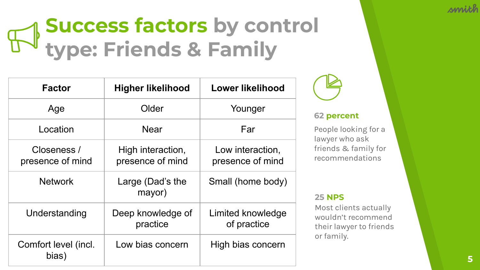### **Success factors by control type: Friends & Family**

| <b>Factor</b>                   | <b>Higher likelihood</b>              | Lower likelihood                     |
|---------------------------------|---------------------------------------|--------------------------------------|
| Age                             | Older                                 | Younger                              |
| Location                        | <b>Near</b>                           | Far                                  |
| Closeness /<br>presence of mind | High interaction,<br>presence of mind | Low interaction,<br>presence of mind |
| <b>Network</b>                  | Large (Dad's the<br>mayor)            | Small (home body)                    |
| Understanding                   | Deep knowledge of<br>practice         | Limited knowledge<br>of practice     |
| Comfort level (incl.<br>bias)   | Low bias concern                      | High bias concern                    |



#### **62 percent**

People looking for a lawyer who ask friends & family for recommendations

#### **25 NPS**

Most clients actually wouldn't recommend their lawyer to friends or family.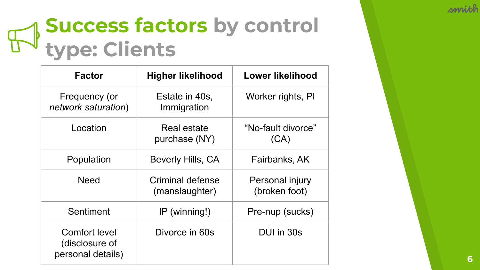

### **Success factors by control type: Clients**

| <b>Factor</b>                                               | <b>Higher likelihood</b>           | Lower likelihood                 |
|-------------------------------------------------------------|------------------------------------|----------------------------------|
| Frequency (or<br>network saturation)                        | Estate in 40s,<br>Immigration      | Worker rights, PI                |
| Location                                                    | Real estate<br>purchase (NY)       | "No-fault divorce"<br>(CA)       |
| Population                                                  | Beverly Hills, CA                  | Fairbanks, AK                    |
| <b>Need</b>                                                 | Criminal defense<br>(manslaughter) | Personal injury<br>(broken foot) |
| Sentiment                                                   | $IP$ (winning!)                    | Pre-nup (sucks)                  |
| <b>Comfort level</b><br>(disclosure of<br>personal details) | Divorce in 60s                     | DUI in 30s                       |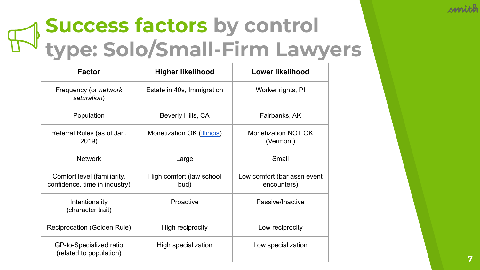## **Success factors by control type: Solo/Small-Firm Lawyers**

| <b>Factor</b>                                                | <b>Higher likelihood</b>         | Lower likelihood                           |
|--------------------------------------------------------------|----------------------------------|--------------------------------------------|
| Frequency (or <i>network</i><br>saturation)                  | Estate in 40s, Immigration       | Worker rights, PI                          |
| Population                                                   | Beverly Hills, CA                | Fairbanks, AK                              |
| Referral Rules (as of Jan.<br>2019)                          | Monetization OK (Illinois)       | Monetization NOT OK<br>(Vermont)           |
| <b>Network</b>                                               | Large                            | Small                                      |
| Comfort level (familiarity,<br>confidence, time in industry) | High comfort (law school<br>bud) | Low comfort (bar assn event<br>encounters) |
| Intentionality<br>(character trait)                          | Proactive                        | Passive/Inactive                           |
| Reciprocation (Golden Rule)                                  | High reciprocity                 | Low reciprocity                            |
| GP-to-Specialized ratio<br>(related to population)           | High specialization              | Low specialization                         |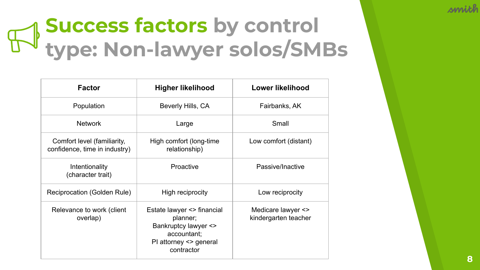## **Success factors by control type: Non-lawyer solos/SMBs**

| Factor                                                       | <b>Higher likelihood</b>                                                                                              | Lower likelihood                           |
|--------------------------------------------------------------|-----------------------------------------------------------------------------------------------------------------------|--------------------------------------------|
| Population                                                   | Beverly Hills, CA                                                                                                     | Fairbanks, AK                              |
| <b>Network</b>                                               | Large                                                                                                                 | Small                                      |
| Comfort level (familiarity,<br>confidence, time in industry) | High comfort (long-time<br>relationship)                                                                              | Low comfort (distant)                      |
| Intentionality<br>(character trait)                          | Proactive                                                                                                             | Passive/Inactive                           |
| Reciprocation (Golden Rule)                                  | High reciprocity                                                                                                      | Low reciprocity                            |
| Relevance to work (client<br>overlap)                        | Estate lawyer <> financial<br>planner;<br>Bankruptcy lawyer <><br>accountant;<br>PI attorney <> general<br>contractor | Medicare lawyer <><br>kindergarten teacher |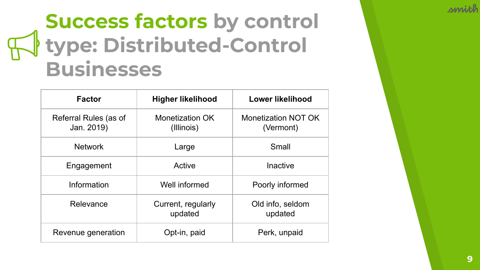#### **Success factors by control type: Distributed-Control Businesses**

| <b>Factor</b>                       | <b>Higher likelihood</b>      | <b>Lower likelihood</b>                 |
|-------------------------------------|-------------------------------|-----------------------------------------|
| Referral Rules (as of<br>Jan. 2019) | Monetization OK<br>(Illinois) | <b>Monetization NOT OK</b><br>(Vermont) |
| <b>Network</b>                      | Large                         | Small                                   |
| Engagement                          | Active                        | Inactive                                |
| Information                         | Well informed                 | Poorly informed                         |
| Relevance                           | Current, regularly<br>updated | Old info, seldom<br>updated             |
| Revenue generation                  | Opt-in, paid                  | Perk, unpaid                            |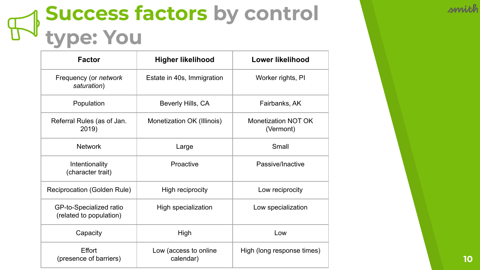### **Success factors by control type: You**

| <b>Factor</b>                                      | <b>Higher likelihood</b>           | <b>Lower likelihood</b>          |
|----------------------------------------------------|------------------------------------|----------------------------------|
| Frequency (or network<br>saturation)               | Estate in 40s, Immigration         | Worker rights, PI                |
| Population                                         | Beverly Hills, CA                  | Fairbanks, AK                    |
| Referral Rules (as of Jan.<br>2019)                | Monetization OK (Illinois)         | Monetization NOT OK<br>(Vermont) |
| <b>Network</b>                                     | Large                              | Small                            |
| Intentionality<br>(character trait)                | Proactive                          | Passive/Inactive                 |
| Reciprocation (Golden Rule)                        | High reciprocity                   | Low reciprocity                  |
| GP-to-Specialized ratio<br>(related to population) | High specialization                | Low specialization               |
| Capacity                                           | High                               | Low                              |
| Effort<br>(presence of barriers)                   | Low (access to online<br>calendar) | High (long response times)       |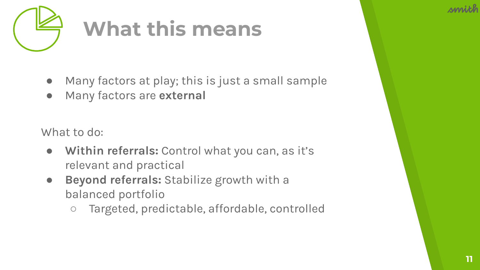



# **What this means**

- Many factors at play; this is just a small sample
- Many factors are **external**

What to do:

- **Within referrals:** Control what you can, as it's relevant and practical
- **Beyond referrals:** Stabilize growth with a balanced portfolio
	- Targeted, predictable, affordable, controlled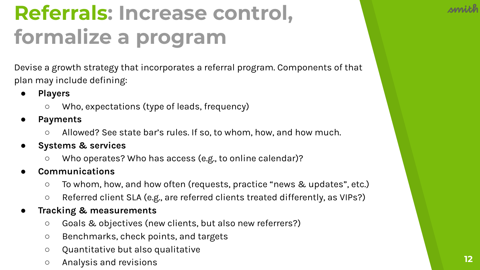## **Referrals: Increase control, formalize a program**

Devise a growth strategy that incorporates a referral program. Components of that plan may include defining:

- **● Players**
	- Who, expectations (type of leads, frequency)
- **● Payments**
	- Allowed? See state bar's rules. If so, to whom, how, and how much.
- **● Systems & services**
	- Who operates? Who has access (e.g., to online calendar)?
- **● Communications**
	- To whom, how, and how often (requests, practice "news & updates", etc.)
	- Referred client SLA (e.g., are referred clients treated differently, as VIPs?)
- **● Tracking & measurements** 
	- Goals & objectives (new clients, but also new referrers?)
	- Benchmarks, check points, and targets
	- Quantitative but also qualitative
	- Analysis and revisions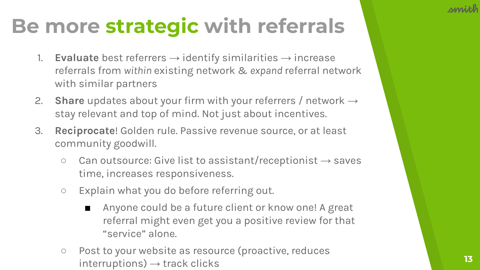### **Be more strategic with referrals**

- 1. **Evaluate** best referrers  $\rightarrow$  identify similarities  $\rightarrow$  increase referrals from *within* existing network & *expand* referral network with similar partners
- 2. **Share** updates about your firm with your referrers / network → stay relevant and top of mind. Not just about incentives.
- 3. **Reciprocate**! Golden rule. Passive revenue source, or at least community goodwill.
	- $\circ$  Can outsource: Give list to assistant/receptionist  $\rightarrow$  saves time, increases responsiveness.
	- Explain what you do before referring out.
		- Anyone could be a future client or know one! A great referral might even get you a positive review for that "service" alone.
	- Post to your website as resource (proactive, reduces  $interruptions) \rightarrow track clicks$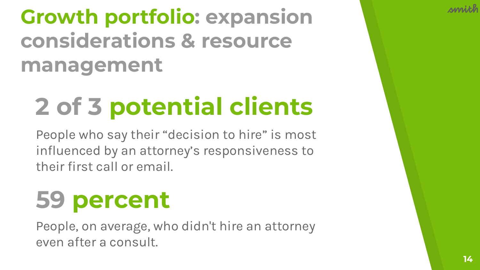### **Growth portfolio: expansion considerations & resource management**

# **2 of 3 potential clients**

People who say their "decision to hire" is most influenced by an attorney's responsiveness to their first call or email.

# **59 percent**

People, on average, who didn't hire an attorney even after a consult.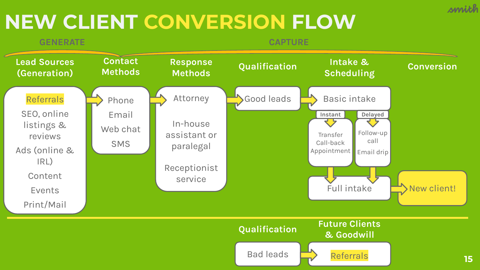#### **NEW CLIENT CONVERSION FLOW**



smith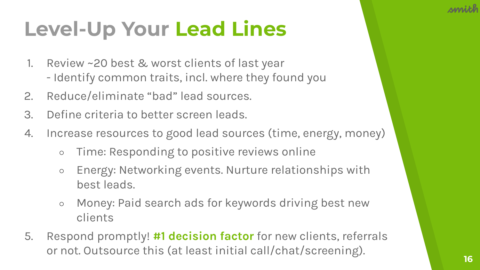## **Level-Up Your Lead Lines**

- 1. Review ~20 best & worst clients of last year - Identify common traits, incl. where they found you
- 2. Reduce/eliminate "bad" lead sources.
- 3. Define criteria to better screen leads.
- 4. Increase resources to good lead sources (time, energy, money)
	- Time: Responding to positive reviews online
	- Energy: Networking events. Nurture relationships with best leads.
	- Money: Paid search ads for keywords driving best new clients
- 5. Respond promptly! **#1 decision factor** for new clients, referrals or not. Outsource this (at least initial call/chat/screening).